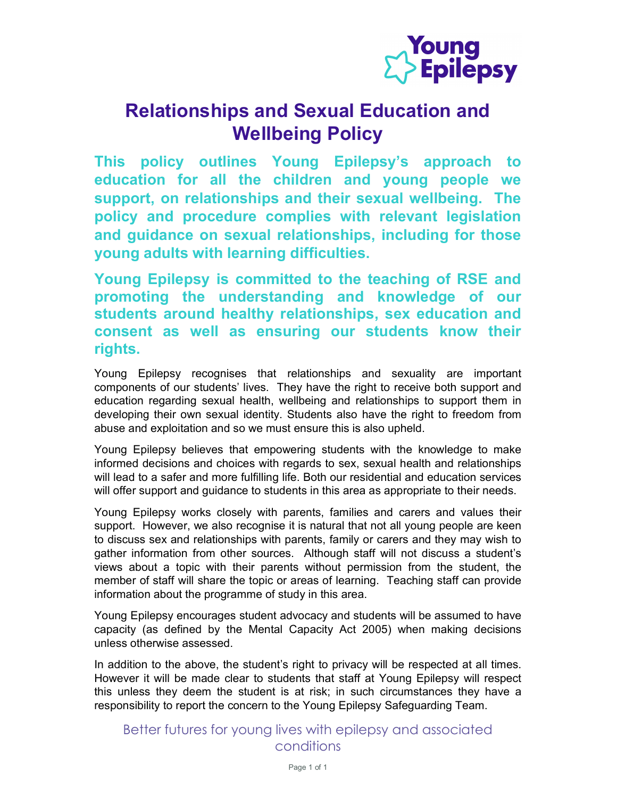

## Relationships and Sexual Education and Wellbeing Policy

This policy outlines Young Epilepsy's approach to education for all the children and young people we support, on relationships and their sexual wellbeing. The policy and procedure complies with relevant legislation and guidance on sexual relationships, including for those young adults with learning difficulties.

Young Epilepsy is committed to the teaching of RSE and promoting the understanding and knowledge of our students around healthy relationships, sex education and consent as well as ensuring our students know their rights.

Young Epilepsy recognises that relationships and sexuality are important components of our students' lives. They have the right to receive both support and education regarding sexual health, wellbeing and relationships to support them in developing their own sexual identity. Students also have the right to freedom from abuse and exploitation and so we must ensure this is also upheld.

Young Epilepsy believes that empowering students with the knowledge to make informed decisions and choices with regards to sex, sexual health and relationships will lead to a safer and more fulfilling life. Both our residential and education services will offer support and guidance to students in this area as appropriate to their needs.

Young Epilepsy works closely with parents, families and carers and values their support. However, we also recognise it is natural that not all young people are keen to discuss sex and relationships with parents, family or carers and they may wish to gather information from other sources. Although staff will not discuss a student's views about a topic with their parents without permission from the student, the member of staff will share the topic or areas of learning. Teaching staff can provide information about the programme of study in this area.

Young Epilepsy encourages student advocacy and students will be assumed to have capacity (as defined by the Mental Capacity Act 2005) when making decisions unless otherwise assessed.

In addition to the above, the student's right to privacy will be respected at all times. However it will be made clear to students that staff at Young Epilepsy will respect this unless they deem the student is at risk; in such circumstances they have a responsibility to report the concern to the Young Epilepsy Safeguarding Team.

Better futures for young lives with epilepsy and associated conditions